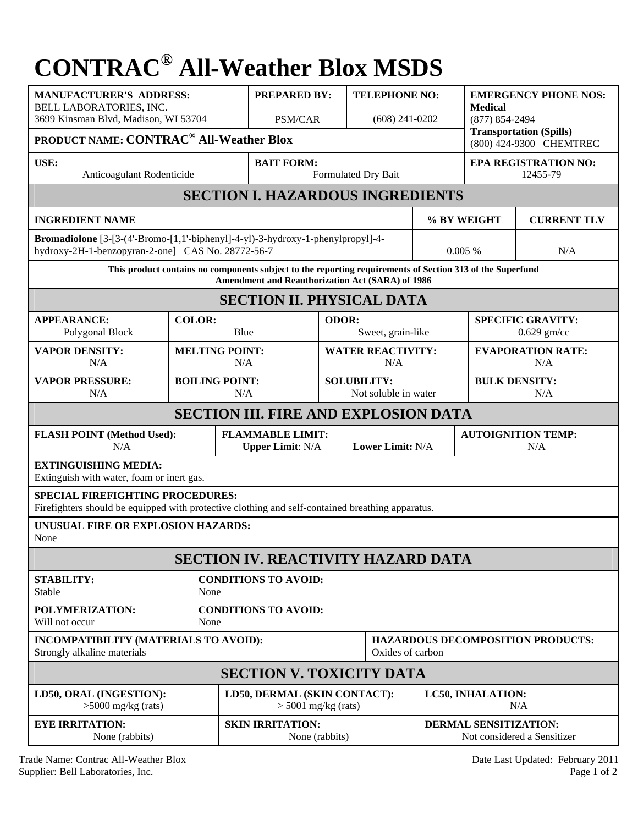## **CONTRAC® All-Weather Blox MSDS**

| <b>MANUFACTURER'S ADDRESS:</b><br>BELL LABORATORIES, INC.                                                                                                     |                              |                                     | <b>PREPARED BY:</b>                                                    |                                            | <b>TELEPHONE NO:</b>              |                                                             | <b>EMERGENCY PHONE NOS:</b><br><b>Medical</b><br>$(877) 854 - 2494$<br><b>Transportation (Spills)</b> |  |  |  |
|---------------------------------------------------------------------------------------------------------------------------------------------------------------|------------------------------|-------------------------------------|------------------------------------------------------------------------|--------------------------------------------|-----------------------------------|-------------------------------------------------------------|-------------------------------------------------------------------------------------------------------|--|--|--|
| 3699 Kinsman Blvd, Madison, WI 53704                                                                                                                          |                              |                                     | PSM/CAR                                                                |                                            | $(608)$ 241-0202                  |                                                             |                                                                                                       |  |  |  |
| <b>PRODUCT NAME: CONTRAC<sup>®</sup> All-Weather Blox</b><br>(800) 424-9300 CHEMTREC                                                                          |                              |                                     |                                                                        |                                            |                                   |                                                             |                                                                                                       |  |  |  |
| USE:<br>Anticoagulant Rodenticide                                                                                                                             |                              |                                     | <b>BAIT FORM:</b>                                                      |                                            | Formulated Dry Bait               | <b>EPA REGISTRATION NO:</b><br>12455-79                     |                                                                                                       |  |  |  |
| <b>SECTION I. HAZARDOUS INGREDIENTS</b>                                                                                                                       |                              |                                     |                                                                        |                                            |                                   |                                                             |                                                                                                       |  |  |  |
| <b>INGREDIENT NAME</b>                                                                                                                                        |                              |                                     |                                                                        |                                            | % BY WEIGHT<br><b>CURRENT TLV</b> |                                                             |                                                                                                       |  |  |  |
| Bromadiolone [3-[3-(4'-Bromo-[1,1'-biphenyl]-4-yl)-3-hydroxy-1-phenylpropyl]-4-<br>hydroxy-2H-1-benzopyran-2-one] CAS No. 28772-56-7                          |                              |                                     |                                                                        |                                            |                                   | N/A<br>$0.005\%$                                            |                                                                                                       |  |  |  |
| This product contains no components subject to the reporting requirements of Section 313 of the Superfund<br>Amendment and Reauthorization Act (SARA) of 1986 |                              |                                     |                                                                        |                                            |                                   |                                                             |                                                                                                       |  |  |  |
| <b>SECTION II. PHYSICAL DATA</b>                                                                                                                              |                              |                                     |                                                                        |                                            |                                   |                                                             |                                                                                                       |  |  |  |
| <b>APPEARANCE:</b>                                                                                                                                            | <b>COLOR:</b>                |                                     |                                                                        | ODOR:                                      |                                   |                                                             | <b>SPECIFIC GRAVITY:</b>                                                                              |  |  |  |
| Polygonal Block                                                                                                                                               |                              | Blue                                | Sweet, grain-like                                                      |                                            |                                   | $0.629$ gm/cc                                               |                                                                                                       |  |  |  |
| <b>VAPOR DENSITY:</b><br>N/A                                                                                                                                  | <b>MELTING POINT:</b>        | N/A                                 | <b>WATER REACTIVITY:</b><br>N/A                                        |                                            |                                   | <b>EVAPORATION RATE:</b><br>N/A                             |                                                                                                       |  |  |  |
| <b>VAPOR PRESSURE:</b><br>N/A                                                                                                                                 | <b>BOILING POINT:</b><br>N/A |                                     |                                                                        | <b>SOLUBILITY:</b><br>Not soluble in water |                                   |                                                             | <b>BULK DENSITY:</b><br>N/A                                                                           |  |  |  |
| <b>SECTION III. FIRE AND EXPLOSION DATA</b>                                                                                                                   |                              |                                     |                                                                        |                                            |                                   |                                                             |                                                                                                       |  |  |  |
| <b>FLASH POINT (Method Used):</b><br>N/A                                                                                                                      |                              |                                     | <b>FLAMMABLE LIMIT:</b><br>Lower Limit: N/A<br><b>Upper Limit: N/A</b> |                                            |                                   | <b>AUTOIGNITION TEMP:</b><br>N/A                            |                                                                                                       |  |  |  |
| <b>EXTINGUISHING MEDIA:</b><br>Extinguish with water, foam or inert gas.                                                                                      |                              |                                     |                                                                        |                                            |                                   |                                                             |                                                                                                       |  |  |  |
| <b>SPECIAL FIREFIGHTING PROCEDURES:</b><br>Firefighters should be equipped with protective clothing and self-contained breathing apparatus.                   |                              |                                     |                                                                        |                                            |                                   |                                                             |                                                                                                       |  |  |  |
| UNUSUAL FIRE OR EXPLOSION HAZARDS:<br>None                                                                                                                    |                              |                                     |                                                                        |                                            |                                   |                                                             |                                                                                                       |  |  |  |
| <b>SECTION IV. REACTIVITY HAZARD DATA</b>                                                                                                                     |                              |                                     |                                                                        |                                            |                                   |                                                             |                                                                                                       |  |  |  |
| <b>STABILITY:</b><br><b>CONDITIONS TO AVOID:</b><br>Stable<br>None                                                                                            |                              |                                     |                                                                        |                                            |                                   |                                                             |                                                                                                       |  |  |  |
| POLYMERIZATION:<br>Will not occur                                                                                                                             |                              | <b>CONDITIONS TO AVOID:</b><br>None |                                                                        |                                            |                                   |                                                             |                                                                                                       |  |  |  |
| INCOMPATIBILITY (MATERIALS TO AVOID):<br>Strongly alkaline materials                                                                                          | Oxides of carbon             |                                     |                                                                        | <b>HAZARDOUS DECOMPOSITION PRODUCTS:</b>   |                                   |                                                             |                                                                                                       |  |  |  |
| <b>SECTION V. TOXICITY DATA</b>                                                                                                                               |                              |                                     |                                                                        |                                            |                                   |                                                             |                                                                                                       |  |  |  |
| LD50, ORAL (INGESTION):<br>$>5000$ mg/kg (rats)                                                                                                               |                              |                                     | LD50, DERMAL (SKIN CONTACT):<br>$>$ 5001 mg/kg (rats)                  |                                            |                                   | <b>LC50, INHALATION:</b><br>N/A                             |                                                                                                       |  |  |  |
| <b>EYE IRRITATION:</b><br>None (rabbits)                                                                                                                      |                              |                                     | <b>SKIN IRRITATION:</b><br>None (rabbits)                              |                                            |                                   | <b>DERMAL SENSITIZATION:</b><br>Not considered a Sensitizer |                                                                                                       |  |  |  |